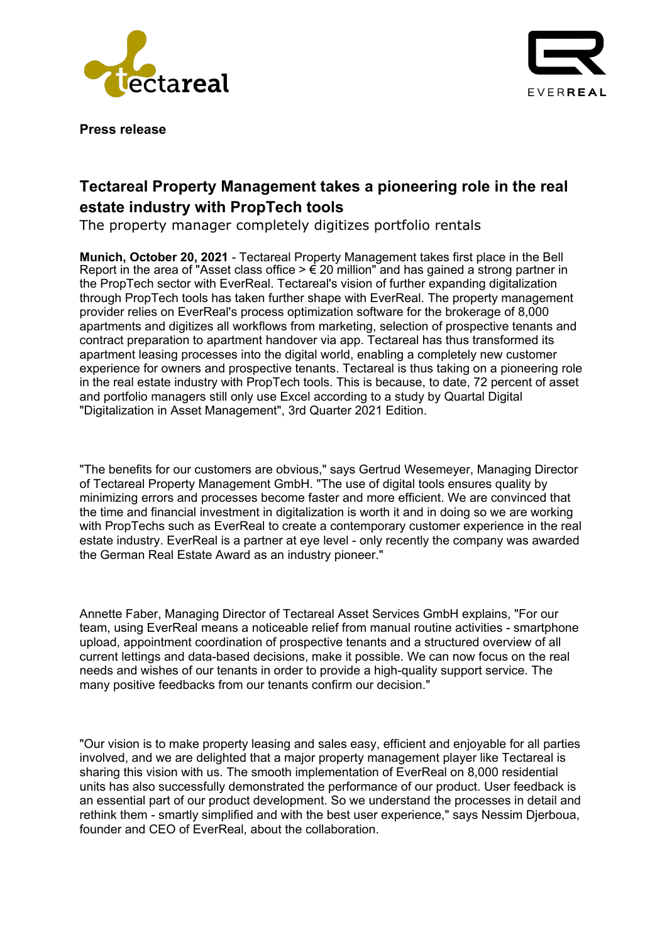



**Press release**

## **Tectareal Property Management takes a pioneering role in the real estate industry with PropTech tools**

The property manager completely digitizes portfolio rentals

**Munich, October 20, 2021** - Tectareal Property Management takes first place in the Bell Report in the area of "Asset class office  $> \epsilon$  20 million" and has gained a strong partner in the PropTech sector with EverReal. Tectareal's vision of further expanding digitalization through PropTech tools has taken further shape with EverReal. The property management provider relies on EverReal's process optimization software for the brokerage of 8,000 apartments and digitizes all workflows from marketing, selection of prospective tenants and contract preparation to apartment handover via app. Tectareal has thus transformed its apartment leasing processes into the digital world, enabling a completely new customer experience for owners and prospective tenants. Tectareal is thus taking on a pioneering role in the real estate industry with PropTech tools. This is because, to date, 72 percent of asset and portfolio managers still only use Excel according to a study by Quartal Digital "Digitalization in Asset Management", 3rd Quarter 2021 Edition.

"The benefits for our customers are obvious," says Gertrud Wesemeyer, Managing Director of Tectareal Property Management GmbH. "The use of digital tools ensures quality by minimizing errors and processes become faster and more efficient. We are convinced that the time and financial investment in digitalization is worth it and in doing so we are working with PropTechs such as EverReal to create a contemporary customer experience in the real estate industry. EverReal is a partner at eye level - only recently the company was awarded the German Real Estate Award as an industry pioneer."

Annette Faber, Managing Director of Tectareal Asset Services GmbH explains, "For our team, using EverReal means a noticeable relief from manual routine activities - smartphone upload, appointment coordination of prospective tenants and a structured overview of all current lettings and data-based decisions, make it possible. We can now focus on the real needs and wishes of our tenants in order to provide a high-quality support service. The many positive feedbacks from our tenants confirm our decision."

"Our vision is to make property leasing and sales easy, efficient and enjoyable for all parties involved, and we are delighted that a major property management player like Tectareal is sharing this vision with us. The smooth implementation of EverReal on 8,000 residential units has also successfully demonstrated the performance of our product. User feedback is an essential part of our product development. So we understand the processes in detail and rethink them - smartly simplified and with the best user experience," says Nessim Djerboua, founder and CEO of EverReal, about the collaboration.